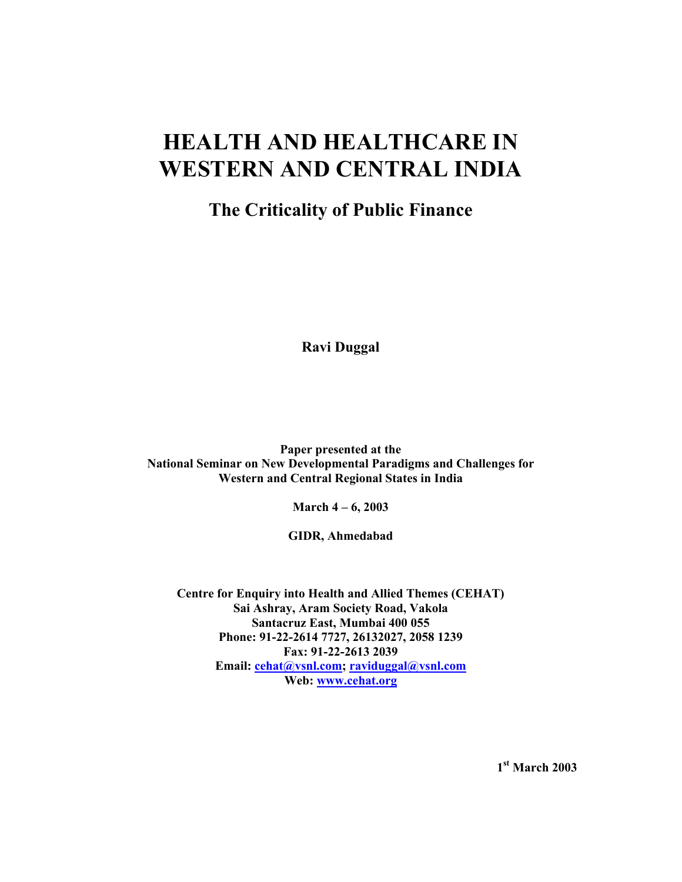# **HEALTH AND HEALTHCARE IN WESTERN AND CENTRAL INDIA**

## **The Criticality of Public Finance**

**Ravi Duggal**

**Paper presented at the National Seminar on New Developmental Paradigms and Challenges for Western and Central Regional States in India** 

**March 4 – 6, 2003** 

**GIDR, Ahmedabad** 

**Centre for Enquiry into Health and Allied Themes (CEHAT) Sai Ashray, Aram Society Road, Vakola Santacruz East, Mumbai 400 055 Phone: 91-22-2614 7727, 26132027, 2058 1239 Fax: 91-22-2613 2039 Email: cehat@vsnl.com; raviduggal@vsnl.com Web: www.cehat.org**

**1st March 2003**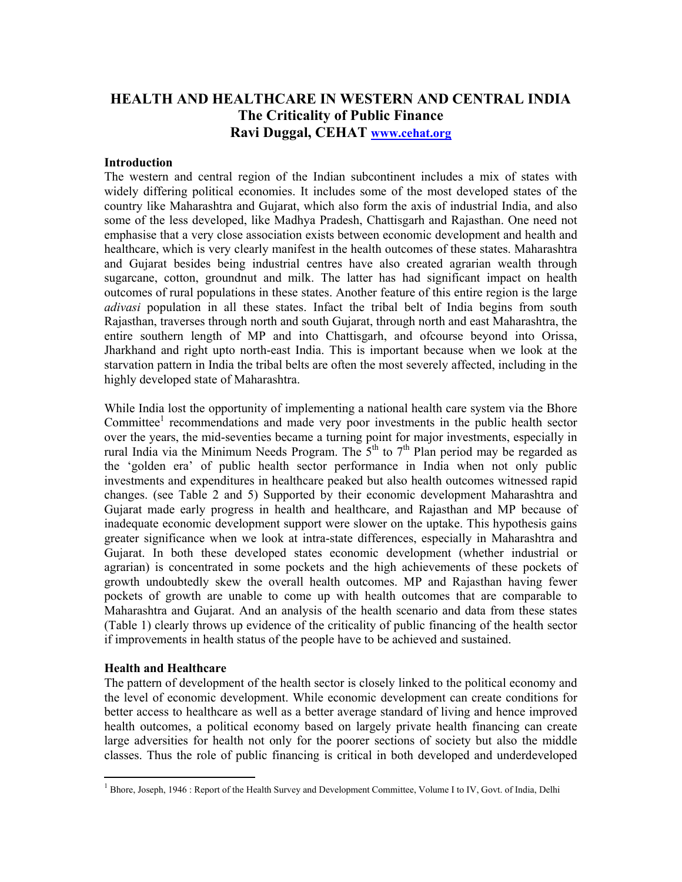### **HEALTH AND HEALTHCARE IN WESTERN AND CENTRAL INDIA The Criticality of Public Finance Ravi Duggal, CEHAT www.cehat.org**

#### **Introduction**

The western and central region of the Indian subcontinent includes a mix of states with widely differing political economies. It includes some of the most developed states of the country like Maharashtra and Gujarat, which also form the axis of industrial India, and also some of the less developed, like Madhya Pradesh, Chattisgarh and Rajasthan. One need not emphasise that a very close association exists between economic development and health and healthcare, which is very clearly manifest in the health outcomes of these states. Maharashtra and Gujarat besides being industrial centres have also created agrarian wealth through sugarcane, cotton, groundnut and milk. The latter has had significant impact on health outcomes of rural populations in these states. Another feature of this entire region is the large *adivasi* population in all these states. Infact the tribal belt of India begins from south Rajasthan, traverses through north and south Gujarat, through north and east Maharashtra, the entire southern length of MP and into Chattisgarh, and ofcourse beyond into Orissa, Jharkhand and right upto north-east India. This is important because when we look at the starvation pattern in India the tribal belts are often the most severely affected, including in the highly developed state of Maharashtra.

While India lost the opportunity of implementing a national health care system via the Bhore Committee<sup>1</sup> recommendations and made very poor investments in the public health sector over the years, the mid-seventies became a turning point for major investments, especially in rural India via the Minimum Needs Program. The  $5<sup>th</sup>$  to  $7<sup>th</sup>$  Plan period may be regarded as the 'golden era' of public health sector performance in India when not only public investments and expenditures in healthcare peaked but also health outcomes witnessed rapid changes. (see Table 2 and 5) Supported by their economic development Maharashtra and Gujarat made early progress in health and healthcare, and Rajasthan and MP because of inadequate economic development support were slower on the uptake. This hypothesis gains greater significance when we look at intra-state differences, especially in Maharashtra and Gujarat. In both these developed states economic development (whether industrial or agrarian) is concentrated in some pockets and the high achievements of these pockets of growth undoubtedly skew the overall health outcomes. MP and Rajasthan having fewer pockets of growth are unable to come up with health outcomes that are comparable to Maharashtra and Gujarat. And an analysis of the health scenario and data from these states (Table 1) clearly throws up evidence of the criticality of public financing of the health sector if improvements in health status of the people have to be achieved and sustained.

#### **Health and Healthcare**

 $\overline{a}$ 

The pattern of development of the health sector is closely linked to the political economy and the level of economic development. While economic development can create conditions for better access to healthcare as well as a better average standard of living and hence improved health outcomes, a political economy based on largely private health financing can create large adversities for health not only for the poorer sections of society but also the middle classes. Thus the role of public financing is critical in both developed and underdeveloped

<sup>&</sup>lt;sup>1</sup> Bhore, Joseph, 1946 : Report of the Health Survey and Development Committee, Volume I to IV, Govt. of India, Delhi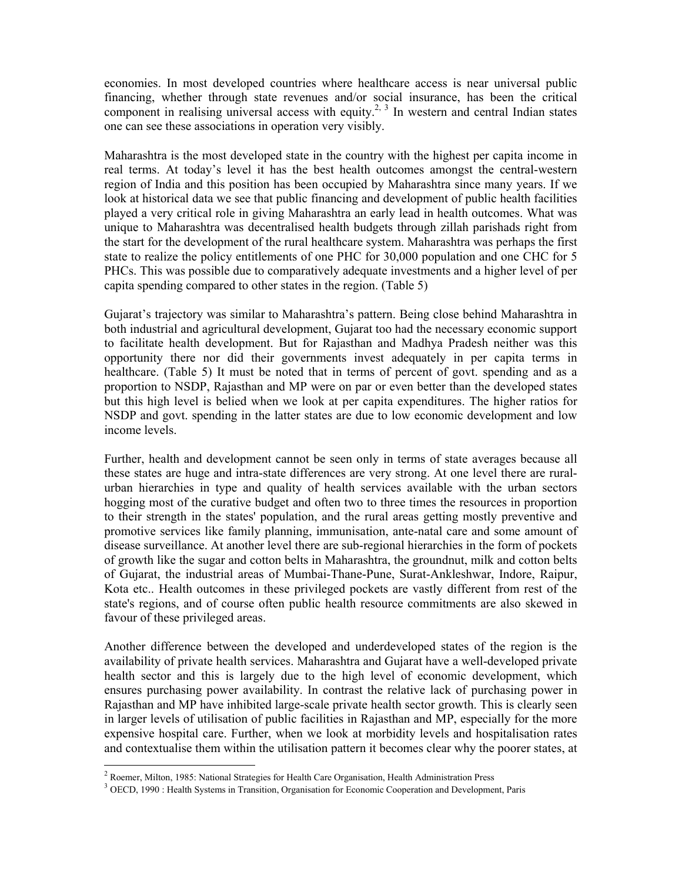economies. In most developed countries where healthcare access is near universal public financing, whether through state revenues and/or social insurance, has been the critical component in realising universal access with equity.<sup>2, 3</sup> In western and central Indian states one can see these associations in operation very visibly.

Maharashtra is the most developed state in the country with the highest per capita income in real terms. At today's level it has the best health outcomes amongst the central-western region of India and this position has been occupied by Maharashtra since many years. If we look at historical data we see that public financing and development of public health facilities played a very critical role in giving Maharashtra an early lead in health outcomes. What was unique to Maharashtra was decentralised health budgets through zillah parishads right from the start for the development of the rural healthcare system. Maharashtra was perhaps the first state to realize the policy entitlements of one PHC for 30,000 population and one CHC for 5 PHCs. This was possible due to comparatively adequate investments and a higher level of per capita spending compared to other states in the region. (Table 5)

Gujarat's trajectory was similar to Maharashtra's pattern. Being close behind Maharashtra in both industrial and agricultural development, Gujarat too had the necessary economic support to facilitate health development. But for Rajasthan and Madhya Pradesh neither was this opportunity there nor did their governments invest adequately in per capita terms in healthcare. (Table 5) It must be noted that in terms of percent of govt. spending and as a proportion to NSDP, Rajasthan and MP were on par or even better than the developed states but this high level is belied when we look at per capita expenditures. The higher ratios for NSDP and govt. spending in the latter states are due to low economic development and low income levels.

Further, health and development cannot be seen only in terms of state averages because all these states are huge and intra-state differences are very strong. At one level there are ruralurban hierarchies in type and quality of health services available with the urban sectors hogging most of the curative budget and often two to three times the resources in proportion to their strength in the states' population, and the rural areas getting mostly preventive and promotive services like family planning, immunisation, ante-natal care and some amount of disease surveillance. At another level there are sub-regional hierarchies in the form of pockets of growth like the sugar and cotton belts in Maharashtra, the groundnut, milk and cotton belts of Gujarat, the industrial areas of Mumbai-Thane-Pune, Surat-Ankleshwar, Indore, Raipur, Kota etc.. Health outcomes in these privileged pockets are vastly different from rest of the state's regions, and of course often public health resource commitments are also skewed in favour of these privileged areas.

Another difference between the developed and underdeveloped states of the region is the availability of private health services. Maharashtra and Gujarat have a well-developed private health sector and this is largely due to the high level of economic development, which ensures purchasing power availability. In contrast the relative lack of purchasing power in Rajasthan and MP have inhibited large-scale private health sector growth. This is clearly seen in larger levels of utilisation of public facilities in Rajasthan and MP, especially for the more expensive hospital care. Further, when we look at morbidity levels and hospitalisation rates and contextualise them within the utilisation pattern it becomes clear why the poorer states, at

<sup>&</sup>lt;sup>2</sup> Roemer, Milton, 1985: National Strategies for Health Care Organisation, Health Administration Press

<sup>&</sup>lt;sup>3</sup> OECD, 1990 : Health Systems in Transition, Organisation for Economic Cooperation and Development, Paris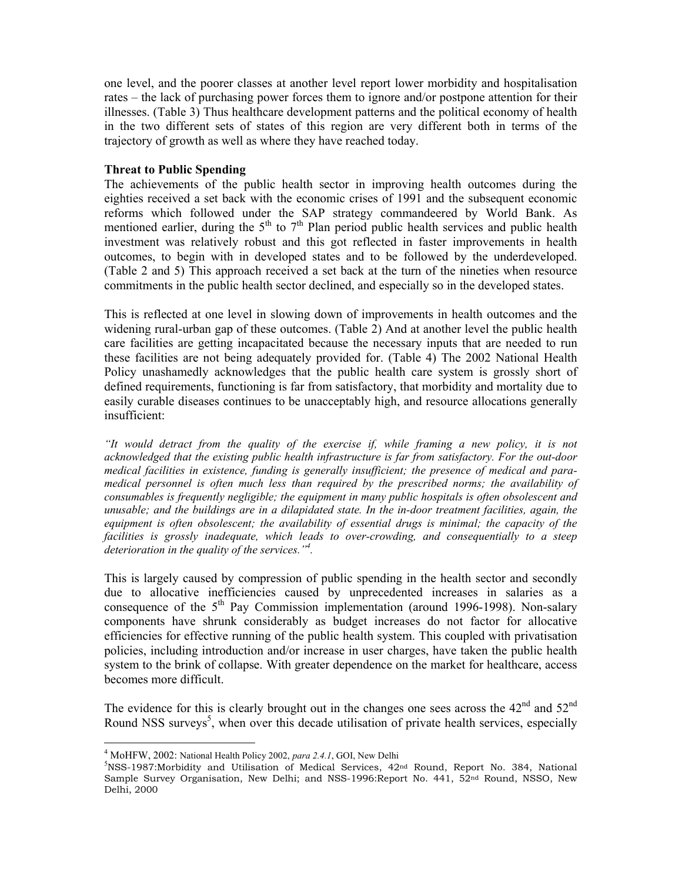one level, and the poorer classes at another level report lower morbidity and hospitalisation rates – the lack of purchasing power forces them to ignore and/or postpone attention for their illnesses. (Table 3) Thus healthcare development patterns and the political economy of health in the two different sets of states of this region are very different both in terms of the trajectory of growth as well as where they have reached today.

#### **Threat to Public Spending**

The achievements of the public health sector in improving health outcomes during the eighties received a set back with the economic crises of 1991 and the subsequent economic reforms which followed under the SAP strategy commandeered by World Bank. As mentioned earlier, during the  $5<sup>th</sup>$  to  $7<sup>th</sup>$  Plan period public health services and public health investment was relatively robust and this got reflected in faster improvements in health outcomes, to begin with in developed states and to be followed by the underdeveloped. (Table 2 and 5) This approach received a set back at the turn of the nineties when resource commitments in the public health sector declined, and especially so in the developed states.

This is reflected at one level in slowing down of improvements in health outcomes and the widening rural-urban gap of these outcomes. (Table 2) And at another level the public health care facilities are getting incapacitated because the necessary inputs that are needed to run these facilities are not being adequately provided for. (Table 4) The 2002 National Health Policy unashamedly acknowledges that the public health care system is grossly short of defined requirements, functioning is far from satisfactory, that morbidity and mortality due to easily curable diseases continues to be unacceptably high, and resource allocations generally insufficient:

*"It would detract from the quality of the exercise if, while framing a new policy, it is not acknowledged that the existing public health infrastructure is far from satisfactory. For the out-door medical facilities in existence, funding is generally insufficient; the presence of medical and paramedical personnel is often much less than required by the prescribed norms; the availability of consumables is frequently negligible; the equipment in many public hospitals is often obsolescent and unusable; and the buildings are in a dilapidated state. In the in-door treatment facilities, again, the equipment is often obsolescent; the availability of essential drugs is minimal; the capacity of the facilities is grossly inadequate, which leads to over-crowding, and consequentially to a steep deterioration in the quality of the services."4 .* 

This is largely caused by compression of public spending in the health sector and secondly due to allocative inefficiencies caused by unprecedented increases in salaries as a consequence of the  $5<sup>th</sup>$  Pay Commission implementation (around 1996-1998). Non-salary components have shrunk considerably as budget increases do not factor for allocative efficiencies for effective running of the public health system. This coupled with privatisation policies, including introduction and/or increase in user charges, have taken the public health system to the brink of collapse. With greater dependence on the market for healthcare, access becomes more difficult.

The evidence for this is clearly brought out in the changes one sees across the  $42<sup>nd</sup>$  and  $52<sup>nd</sup>$ Round NSS surveys<sup>5</sup>, when over this decade utilisation of private health services, especially

<sup>&</sup>lt;sup>4</sup> MoHFW, 2002: National Health Policy 2002, *para 2.4.1*, GOI, New Delhi<br><sup>5</sup>NSS 1097: Morbidity, and Utilization of Modical Services, 423

 $NSS-1987$ :Morbidity and Utilisation of Medical Services, 42<sup>nd</sup> Round, Report No. 384, National Sample Survey Organisation, New Delhi; and NSS-1996:Report No. 441, 52<sup>nd</sup> Round, NSSO, New Delhi, 2000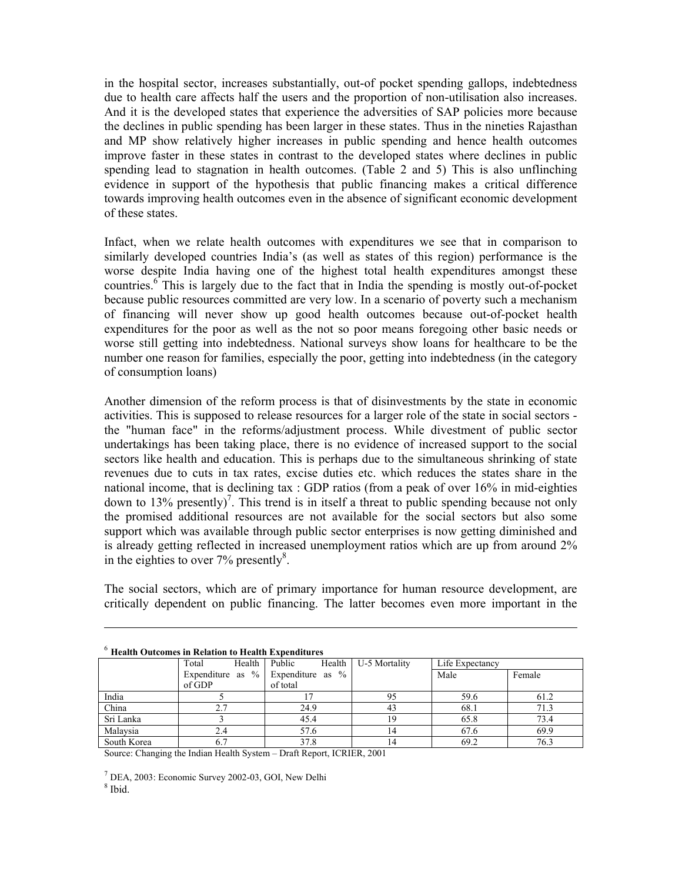in the hospital sector, increases substantially, out-of pocket spending gallops, indebtedness due to health care affects half the users and the proportion of non-utilisation also increases. And it is the developed states that experience the adversities of SAP policies more because the declines in public spending has been larger in these states. Thus in the nineties Rajasthan and MP show relatively higher increases in public spending and hence health outcomes improve faster in these states in contrast to the developed states where declines in public spending lead to stagnation in health outcomes. (Table 2 and 5) This is also unflinching evidence in support of the hypothesis that public financing makes a critical difference towards improving health outcomes even in the absence of significant economic development of these states.

Infact, when we relate health outcomes with expenditures we see that in comparison to similarly developed countries India's (as well as states of this region) performance is the worse despite India having one of the highest total health expenditures amongst these countries.<sup>6</sup> This is largely due to the fact that in India the spending is mostly out-of-pocket because public resources committed are very low. In a scenario of poverty such a mechanism of financing will never show up good health outcomes because out-of-pocket health expenditures for the poor as well as the not so poor means foregoing other basic needs or worse still getting into indebtedness. National surveys show loans for healthcare to be the number one reason for families, especially the poor, getting into indebtedness (in the category of consumption loans)

Another dimension of the reform process is that of disinvestments by the state in economic activities. This is supposed to release resources for a larger role of the state in social sectors the "human face" in the reforms/adjustment process. While divestment of public sector undertakings has been taking place, there is no evidence of increased support to the social sectors like health and education. This is perhaps due to the simultaneous shrinking of state revenues due to cuts in tax rates, excise duties etc. which reduces the states share in the national income, that is declining tax : GDP ratios (from a peak of over 16% in mid-eighties down to 13% presently)<sup>7</sup>. This trend is in itself a threat to public spending because not only the promised additional resources are not available for the social sectors but also some support which was available through public sector enterprises is now getting diminished and is already getting reflected in increased unemployment ratios which are up from around 2% in the eighties to over  $7\%$  presently $\frac{8}{3}$ .

The social sectors, which are of primary importance for human resource development, are critically dependent on public financing. The latter becomes even more important in the

| Treaten Outcomes in Isciation to Health Expenditures |                                         |  |               |  |                      |                 |        |  |  |  |  |
|------------------------------------------------------|-----------------------------------------|--|---------------|--|----------------------|-----------------|--------|--|--|--|--|
|                                                      | Total                                   |  | Health Public |  | Health U-5 Mortality | Life Expectancy |        |  |  |  |  |
|                                                      | Expenditure as $\%$ Expenditure as $\%$ |  |               |  |                      | Male            | Female |  |  |  |  |
|                                                      | of GDP                                  |  | of total      |  |                      |                 |        |  |  |  |  |
| India                                                |                                         |  |               |  | 95                   | 59.6            | 61.2   |  |  |  |  |
| China                                                |                                         |  | 24.9          |  | 43                   | 68.1            | 71.3   |  |  |  |  |
| Sri Lanka                                            |                                         |  | 45.4          |  |                      | 65.8            | 73.4   |  |  |  |  |
| Malaysia                                             | 2.4                                     |  | 57.6          |  | 14                   | 67.6            | 69.9   |  |  |  |  |
| South Korea                                          | 0.1                                     |  | 37.8          |  | 14                   | 69.2            | 76.3   |  |  |  |  |

#### <sup>6</sup> **Health Outcomes in Relation to Health Expenditures**

Source: Changing the Indian Health System – Draft Report, ICRIER, 2001

 $<sup>7</sup>$  DEA, 2003: Economic Survey 2002-03, GOI, New Delhi</sup>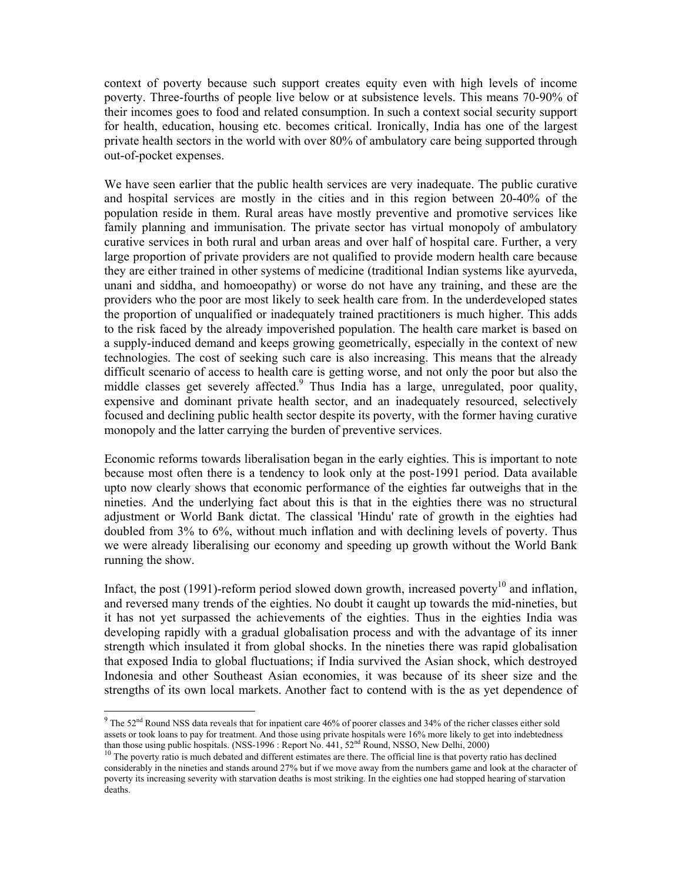context of poverty because such support creates equity even with high levels of income poverty. Three-fourths of people live below or at subsistence levels. This means 70-90% of their incomes goes to food and related consumption. In such a context social security support for health, education, housing etc. becomes critical. Ironically, India has one of the largest private health sectors in the world with over 80% of ambulatory care being supported through out-of-pocket expenses.

We have seen earlier that the public health services are very inadequate. The public curative and hospital services are mostly in the cities and in this region between 20-40% of the population reside in them. Rural areas have mostly preventive and promotive services like family planning and immunisation. The private sector has virtual monopoly of ambulatory curative services in both rural and urban areas and over half of hospital care. Further, a very large proportion of private providers are not qualified to provide modern health care because they are either trained in other systems of medicine (traditional Indian systems like ayurveda, unani and siddha, and homoeopathy) or worse do not have any training, and these are the providers who the poor are most likely to seek health care from. In the underdeveloped states the proportion of unqualified or inadequately trained practitioners is much higher. This adds to the risk faced by the already impoverished population. The health care market is based on a supply-induced demand and keeps growing geometrically, especially in the context of new technologies. The cost of seeking such care is also increasing. This means that the already difficult scenario of access to health care is getting worse, and not only the poor but also the middle classes get severely affected.<sup>9</sup> Thus India has a large, unregulated, poor quality, expensive and dominant private health sector, and an inadequately resourced, selectively focused and declining public health sector despite its poverty, with the former having curative monopoly and the latter carrying the burden of preventive services.

Economic reforms towards liberalisation began in the early eighties. This is important to note because most often there is a tendency to look only at the post-1991 period. Data available upto now clearly shows that economic performance of the eighties far outweighs that in the nineties. And the underlying fact about this is that in the eighties there was no structural adjustment or World Bank dictat. The classical 'Hindu' rate of growth in the eighties had doubled from 3% to 6%, without much inflation and with declining levels of poverty. Thus we were already liberalising our economy and speeding up growth without the World Bank running the show.

Infact, the post (1991)-reform period slowed down growth, increased poverty<sup>10</sup> and inflation, and reversed many trends of the eighties. No doubt it caught up towards the mid-nineties, but it has not yet surpassed the achievements of the eighties. Thus in the eighties India was developing rapidly with a gradual globalisation process and with the advantage of its inner strength which insulated it from global shocks. In the nineties there was rapid globalisation that exposed India to global fluctuations; if India survived the Asian shock, which destroyed Indonesia and other Southeast Asian economies, it was because of its sheer size and the strengths of its own local markets. Another fact to contend with is the as yet dependence of

<sup>&</sup>lt;sup>9</sup> The 52<sup>nd</sup> Round NSS data reveals that for inpatient care 46% of poorer classes and 34% of the richer classes either sold assets or took loans to pay for treatment. And those using private hospitals were 16% more likely to get into indebtedness than those using public hospitals. (NSS-1996 : Report No. 441,  $52<sup>nd</sup>$  Round, NSSO, New Delhi,

than those using public hospitals. (NSS-1996 : Report No. 441,  $\frac{1}{2}$  and  $\frac{1}{2}$ ) The poverty ratio has declined  $\frac{10}{2}$  The poverty ratio is much debated and different estimates are there. The official line is t considerably in the nineties and stands around 27% but if we move away from the numbers game and look at the character of poverty its increasing severity with starvation deaths is most striking. In the eighties one had stopped hearing of starvation deaths.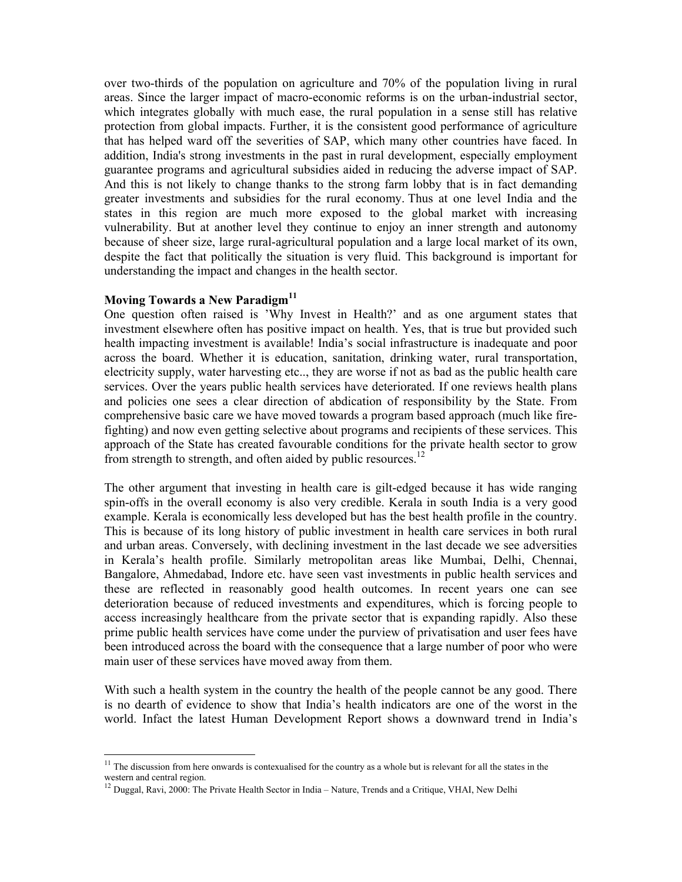over two-thirds of the population on agriculture and 70% of the population living in rural areas. Since the larger impact of macro-economic reforms is on the urban-industrial sector, which integrates globally with much ease, the rural population in a sense still has relative protection from global impacts. Further, it is the consistent good performance of agriculture that has helped ward off the severities of SAP, which many other countries have faced. In addition, India's strong investments in the past in rural development, especially employment guarantee programs and agricultural subsidies aided in reducing the adverse impact of SAP. And this is not likely to change thanks to the strong farm lobby that is in fact demanding greater investments and subsidies for the rural economy. Thus at one level India and the states in this region are much more exposed to the global market with increasing vulnerability. But at another level they continue to enjoy an inner strength and autonomy because of sheer size, large rural-agricultural population and a large local market of its own, despite the fact that politically the situation is very fluid. This background is important for understanding the impact and changes in the health sector.

#### **Moving Towards a New Paradigm<sup>11</sup>**

 $\overline{a}$ 

One question often raised is 'Why Invest in Health?' and as one argument states that investment elsewhere often has positive impact on health. Yes, that is true but provided such health impacting investment is available! India's social infrastructure is inadequate and poor across the board. Whether it is education, sanitation, drinking water, rural transportation, electricity supply, water harvesting etc.., they are worse if not as bad as the public health care services. Over the years public health services have deteriorated. If one reviews health plans and policies one sees a clear direction of abdication of responsibility by the State. From comprehensive basic care we have moved towards a program based approach (much like firefighting) and now even getting selective about programs and recipients of these services. This approach of the State has created favourable conditions for the private health sector to grow from strength to strength, and often aided by public resources.<sup>12</sup>

The other argument that investing in health care is gilt-edged because it has wide ranging spin-offs in the overall economy is also very credible. Kerala in south India is a very good example. Kerala is economically less developed but has the best health profile in the country. This is because of its long history of public investment in health care services in both rural and urban areas. Conversely, with declining investment in the last decade we see adversities in Kerala's health profile. Similarly metropolitan areas like Mumbai, Delhi, Chennai, Bangalore, Ahmedabad, Indore etc. have seen vast investments in public health services and these are reflected in reasonably good health outcomes. In recent years one can see deterioration because of reduced investments and expenditures, which is forcing people to access increasingly healthcare from the private sector that is expanding rapidly. Also these prime public health services have come under the purview of privatisation and user fees have been introduced across the board with the consequence that a large number of poor who were main user of these services have moved away from them.

With such a health system in the country the health of the people cannot be any good. There is no dearth of evidence to show that India's health indicators are one of the worst in the world. Infact the latest Human Development Report shows a downward trend in India's

 $11$  The discussion from here onwards is contexualised for the country as a whole but is relevant for all the states in the western and central region.

<sup>12</sup> Duggal, Ravi, 2000: The Private Health Sector in India – Nature, Trends and a Critique, VHAI, New Delhi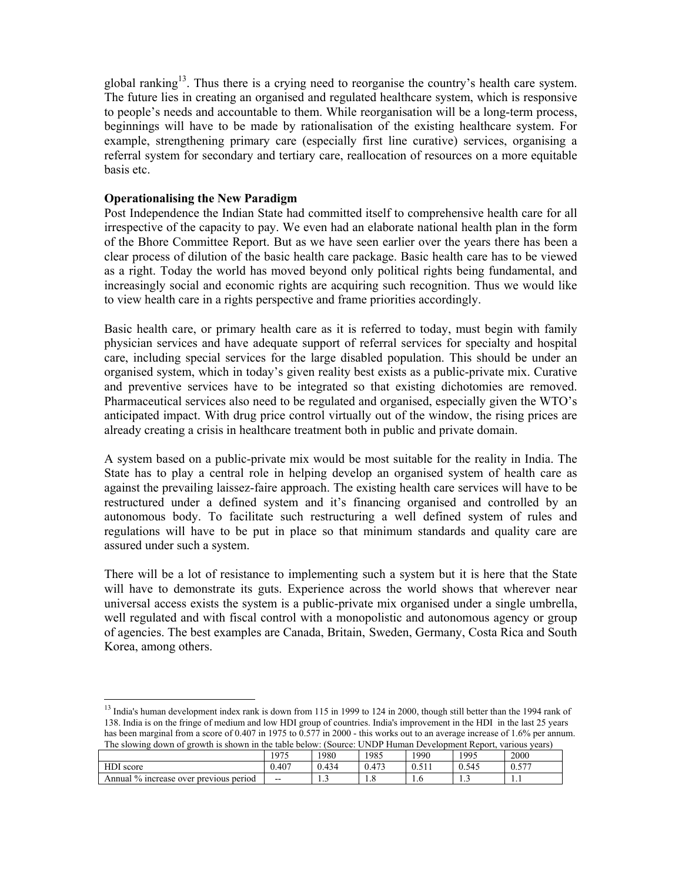global ranking<sup>13</sup>. Thus there is a crying need to reorganise the country's health care system. The future lies in creating an organised and regulated healthcare system, which is responsive to people's needs and accountable to them. While reorganisation will be a long-term process, beginnings will have to be made by rationalisation of the existing healthcare system. For example, strengthening primary care (especially first line curative) services, organising a referral system for secondary and tertiary care, reallocation of resources on a more equitable basis etc.

#### **Operationalising the New Paradigm**

 $\overline{a}$ 

Post Independence the Indian State had committed itself to comprehensive health care for all irrespective of the capacity to pay. We even had an elaborate national health plan in the form of the Bhore Committee Report. But as we have seen earlier over the years there has been a clear process of dilution of the basic health care package. Basic health care has to be viewed as a right. Today the world has moved beyond only political rights being fundamental, and increasingly social and economic rights are acquiring such recognition. Thus we would like to view health care in a rights perspective and frame priorities accordingly.

Basic health care, or primary health care as it is referred to today, must begin with family physician services and have adequate support of referral services for specialty and hospital care, including special services for the large disabled population. This should be under an organised system, which in today's given reality best exists as a public-private mix. Curative and preventive services have to be integrated so that existing dichotomies are removed. Pharmaceutical services also need to be regulated and organised, especially given the WTO's anticipated impact. With drug price control virtually out of the window, the rising prices are already creating a crisis in healthcare treatment both in public and private domain.

A system based on a public-private mix would be most suitable for the reality in India. The State has to play a central role in helping develop an organised system of health care as against the prevailing laissez-faire approach. The existing health care services will have to be restructured under a defined system and it's financing organised and controlled by an autonomous body. To facilitate such restructuring a well defined system of rules and regulations will have to be put in place so that minimum standards and quality care are assured under such a system.

There will be a lot of resistance to implementing such a system but it is here that the State will have to demonstrate its guts. Experience across the world shows that wherever near universal access exists the system is a public-private mix organised under a single umbrella, well regulated and with fiscal control with a monopolistic and autonomous agency or group of agencies. The best examples are Canada, Britain, Sweden, Germany, Costa Rica and South Korea, among others.

 $13$  India's human development index rank is down from 115 in 1999 to 124 in 2000, though still better than the 1994 rank of 138. India is on the fringe of medium and low HDI group of countries. India's improvement in the HDI in the last 25 years has been marginal from a score of 0.407 in 1975 to 0.577 in 2000 - this works out to an average increase of 1.6% per annum. The slowing down of growth is shown in the table below: (Source: UNDP Human Development Report, various years)

|                                            | 1975                     | 1980  | 1985  | 1990         | 1995  | 2000       |
|--------------------------------------------|--------------------------|-------|-------|--------------|-------|------------|
| HDI score                                  | 0.407                    | 0.434 | 0.473 | 51'<br>U.JII | 0.545 | 577<br>0.5 |
| 1% increase over previous period<br>Annual | $\overline{\phantom{a}}$ | .     | 1.0   | 1.0          | .     | .          |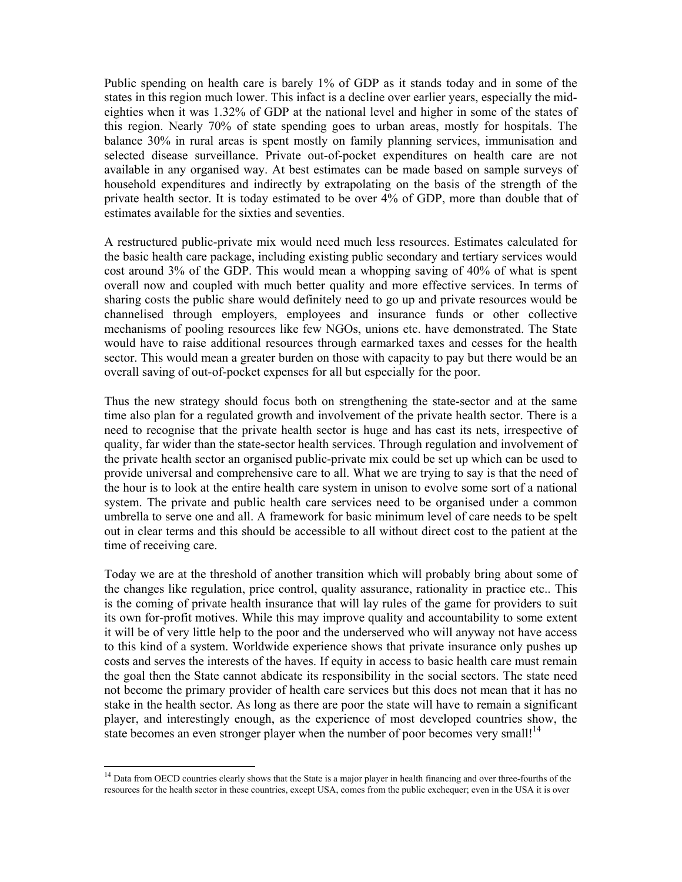Public spending on health care is barely 1% of GDP as it stands today and in some of the states in this region much lower. This infact is a decline over earlier years, especially the mideighties when it was 1.32% of GDP at the national level and higher in some of the states of this region. Nearly 70% of state spending goes to urban areas, mostly for hospitals. The balance 30% in rural areas is spent mostly on family planning services, immunisation and selected disease surveillance. Private out-of-pocket expenditures on health care are not available in any organised way. At best estimates can be made based on sample surveys of household expenditures and indirectly by extrapolating on the basis of the strength of the private health sector. It is today estimated to be over 4% of GDP, more than double that of estimates available for the sixties and seventies.

A restructured public-private mix would need much less resources. Estimates calculated for the basic health care package, including existing public secondary and tertiary services would cost around 3% of the GDP. This would mean a whopping saving of 40% of what is spent overall now and coupled with much better quality and more effective services. In terms of sharing costs the public share would definitely need to go up and private resources would be channelised through employers, employees and insurance funds or other collective mechanisms of pooling resources like few NGOs, unions etc. have demonstrated. The State would have to raise additional resources through earmarked taxes and cesses for the health sector. This would mean a greater burden on those with capacity to pay but there would be an overall saving of out-of-pocket expenses for all but especially for the poor.

Thus the new strategy should focus both on strengthening the state-sector and at the same time also plan for a regulated growth and involvement of the private health sector. There is a need to recognise that the private health sector is huge and has cast its nets, irrespective of quality, far wider than the state-sector health services. Through regulation and involvement of the private health sector an organised public-private mix could be set up which can be used to provide universal and comprehensive care to all. What we are trying to say is that the need of the hour is to look at the entire health care system in unison to evolve some sort of a national system. The private and public health care services need to be organised under a common umbrella to serve one and all. A framework for basic minimum level of care needs to be spelt out in clear terms and this should be accessible to all without direct cost to the patient at the time of receiving care.

Today we are at the threshold of another transition which will probably bring about some of the changes like regulation, price control, quality assurance, rationality in practice etc.. This is the coming of private health insurance that will lay rules of the game for providers to suit its own for-profit motives. While this may improve quality and accountability to some extent it will be of very little help to the poor and the underserved who will anyway not have access to this kind of a system. Worldwide experience shows that private insurance only pushes up costs and serves the interests of the haves. If equity in access to basic health care must remain the goal then the State cannot abdicate its responsibility in the social sectors. The state need not become the primary provider of health care services but this does not mean that it has no stake in the health sector. As long as there are poor the state will have to remain a significant player, and interestingly enough, as the experience of most developed countries show, the state becomes an even stronger player when the number of poor becomes very small!<sup>14</sup>

<sup>&</sup>lt;sup>14</sup> Data from OECD countries clearly shows that the State is a major player in health financing and over three-fourths of the resources for the health sector in these countries, except USA, comes from the public exchequer; even in the USA it is over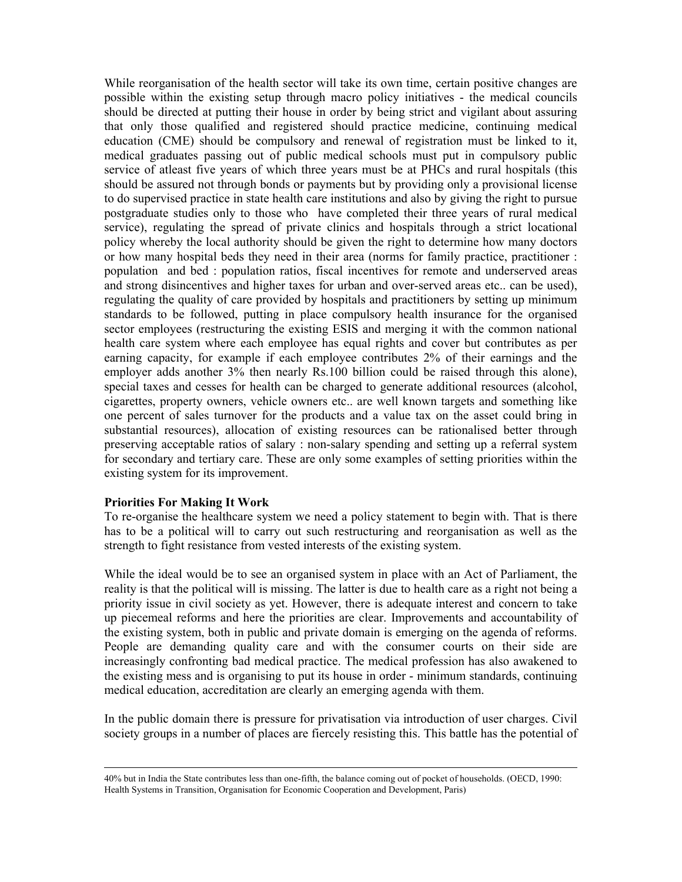While reorganisation of the health sector will take its own time, certain positive changes are possible within the existing setup through macro policy initiatives - the medical councils should be directed at putting their house in order by being strict and vigilant about assuring that only those qualified and registered should practice medicine, continuing medical education (CME) should be compulsory and renewal of registration must be linked to it, medical graduates passing out of public medical schools must put in compulsory public service of atleast five years of which three years must be at PHCs and rural hospitals (this should be assured not through bonds or payments but by providing only a provisional license to do supervised practice in state health care institutions and also by giving the right to pursue postgraduate studies only to those who have completed their three years of rural medical service), regulating the spread of private clinics and hospitals through a strict locational policy whereby the local authority should be given the right to determine how many doctors or how many hospital beds they need in their area (norms for family practice, practitioner : population and bed : population ratios, fiscal incentives for remote and underserved areas and strong disincentives and higher taxes for urban and over-served areas etc.. can be used), regulating the quality of care provided by hospitals and practitioners by setting up minimum standards to be followed, putting in place compulsory health insurance for the organised sector employees (restructuring the existing ESIS and merging it with the common national health care system where each employee has equal rights and cover but contributes as per earning capacity, for example if each employee contributes 2% of their earnings and the employer adds another 3% then nearly Rs.100 billion could be raised through this alone), special taxes and cesses for health can be charged to generate additional resources (alcohol, cigarettes, property owners, vehicle owners etc.. are well known targets and something like one percent of sales turnover for the products and a value tax on the asset could bring in substantial resources), allocation of existing resources can be rationalised better through preserving acceptable ratios of salary : non-salary spending and setting up a referral system for secondary and tertiary care. These are only some examples of setting priorities within the existing system for its improvement.

#### **Priorities For Making It Work**

To re-organise the healthcare system we need a policy statement to begin with. That is there has to be a political will to carry out such restructuring and reorganisation as well as the strength to fight resistance from vested interests of the existing system.

While the ideal would be to see an organised system in place with an Act of Parliament, the reality is that the political will is missing. The latter is due to health care as a right not being a priority issue in civil society as yet. However, there is adequate interest and concern to take up piecemeal reforms and here the priorities are clear. Improvements and accountability of the existing system, both in public and private domain is emerging on the agenda of reforms. People are demanding quality care and with the consumer courts on their side are increasingly confronting bad medical practice. The medical profession has also awakened to the existing mess and is organising to put its house in order - minimum standards, continuing medical education, accreditation are clearly an emerging agenda with them.

In the public domain there is pressure for privatisation via introduction of user charges. Civil society groups in a number of places are fiercely resisting this. This battle has the potential of

 <sup>40%</sup> but in India the State contributes less than one-fifth, the balance coming out of pocket of households. (OECD, 1990: Health Systems in Transition, Organisation for Economic Cooperation and Development, Paris)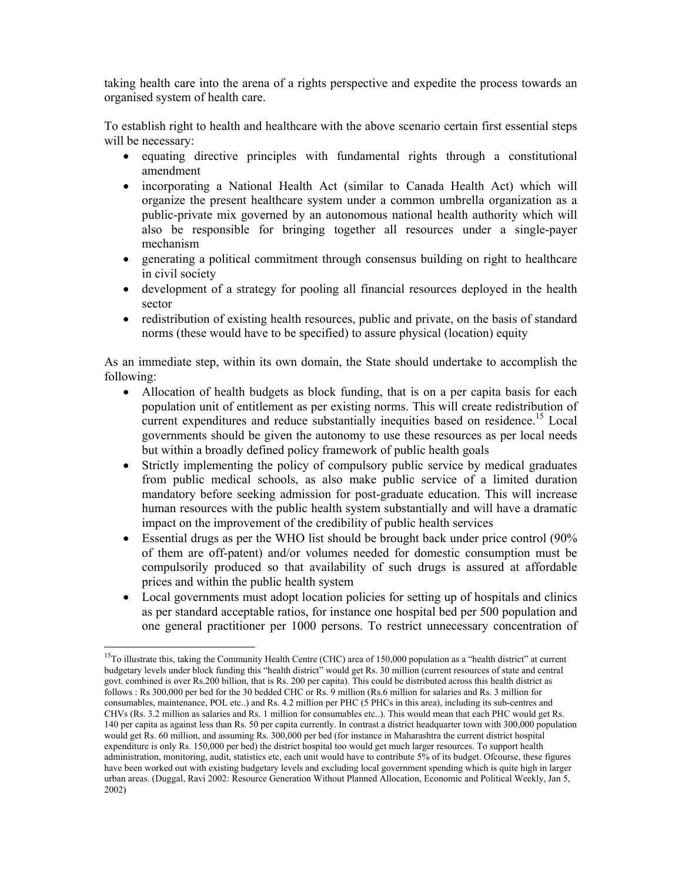taking health care into the arena of a rights perspective and expedite the process towards an organised system of health care.

To establish right to health and healthcare with the above scenario certain first essential steps will be necessary:

- equating directive principles with fundamental rights through a constitutional amendment
- incorporating a National Health Act (similar to Canada Health Act) which will organize the present healthcare system under a common umbrella organization as a public-private mix governed by an autonomous national health authority which will also be responsible for bringing together all resources under a single-payer mechanism
- generating a political commitment through consensus building on right to healthcare in civil society
- development of a strategy for pooling all financial resources deployed in the health sector
- redistribution of existing health resources, public and private, on the basis of standard norms (these would have to be specified) to assure physical (location) equity

As an immediate step, within its own domain, the State should undertake to accomplish the following:

- Allocation of health budgets as block funding, that is on a per capita basis for each population unit of entitlement as per existing norms. This will create redistribution of current expenditures and reduce substantially inequities based on residence.<sup>15</sup> Local governments should be given the autonomy to use these resources as per local needs but within a broadly defined policy framework of public health goals
- Strictly implementing the policy of compulsory public service by medical graduates from public medical schools, as also make public service of a limited duration mandatory before seeking admission for post-graduate education. This will increase human resources with the public health system substantially and will have a dramatic impact on the improvement of the credibility of public health services
- Essential drugs as per the WHO list should be brought back under price control (90%) of them are off-patent) and/or volumes needed for domestic consumption must be compulsorily produced so that availability of such drugs is assured at affordable prices and within the public health system
- Local governments must adopt location policies for setting up of hospitals and clinics as per standard acceptable ratios, for instance one hospital bed per 500 population and one general practitioner per 1000 persons. To restrict unnecessary concentration of

<sup>&</sup>lt;sup>15</sup>To illustrate this, taking the Community Health Centre (CHC) area of 150,000 population as a "health district" at current budgetary levels under block funding this "health district" would get Rs. 30 million (current resources of state and central govt. combined is over Rs.200 billion, that is Rs. 200 per capita). This could be distributed across this health district as follows : Rs 300,000 per bed for the 30 bedded CHC or Rs. 9 million (Rs.6 million for salaries and Rs. 3 million for consumables, maintenance, POL etc..) and Rs. 4.2 million per PHC (5 PHCs in this area), including its sub-centres and CHVs (Rs. 3.2 million as salaries and Rs. 1 million for consumables etc..). This would mean that each PHC would get Rs. 140 per capita as against less than Rs. 50 per capita currently. In contrast a district headquarter town with 300,000 population would get Rs. 60 million, and assuming Rs. 300,000 per bed (for instance in Maharashtra the current district hospital expenditure is only Rs. 150,000 per bed) the district hospital too would get much larger resources. To support health administration, monitoring, audit, statistics etc, each unit would have to contribute 5% of its budget. Ofcourse, these figures have been worked out with existing budgetary levels and excluding local government spending which is quite high in larger urban areas. (Duggal, Ravi 2002: Resource Generation Without Planned Allocation, Economic and Political Weekly, Jan 5, 2002)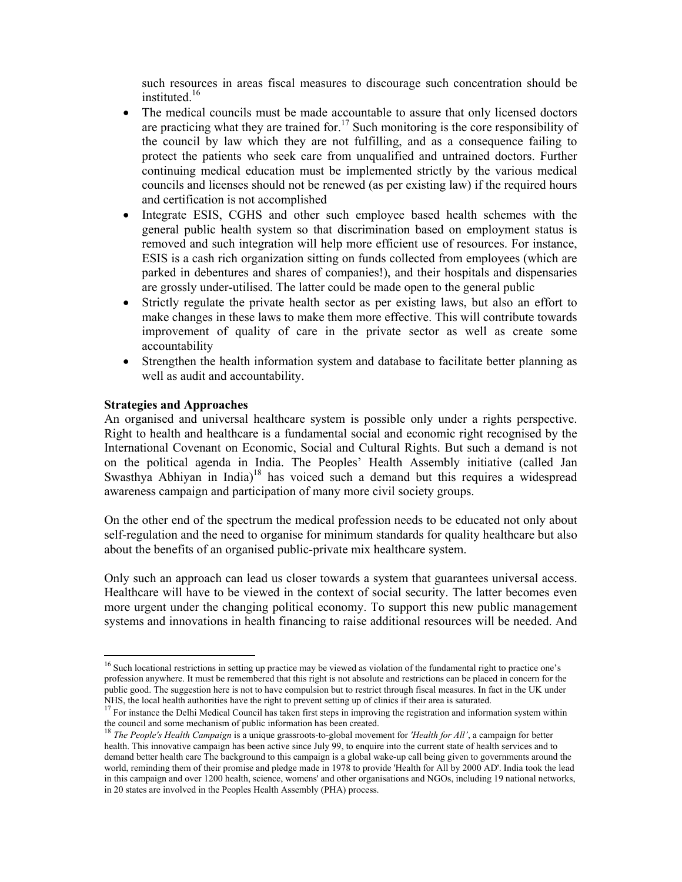such resources in areas fiscal measures to discourage such concentration should be instituted.16

- The medical councils must be made accountable to assure that only licensed doctors are practicing what they are trained for.<sup>17</sup> Such monitoring is the core responsibility of the council by law which they are not fulfilling, and as a consequence failing to protect the patients who seek care from unqualified and untrained doctors. Further continuing medical education must be implemented strictly by the various medical councils and licenses should not be renewed (as per existing law) if the required hours and certification is not accomplished
- Integrate ESIS, CGHS and other such employee based health schemes with the general public health system so that discrimination based on employment status is removed and such integration will help more efficient use of resources. For instance, ESIS is a cash rich organization sitting on funds collected from employees (which are parked in debentures and shares of companies!), and their hospitals and dispensaries are grossly under-utilised. The latter could be made open to the general public
- Strictly regulate the private health sector as per existing laws, but also an effort to make changes in these laws to make them more effective. This will contribute towards improvement of quality of care in the private sector as well as create some accountability
- Strengthen the health information system and database to facilitate better planning as well as audit and accountability.

#### **Strategies and Approaches**

 $\overline{a}$ 

An organised and universal healthcare system is possible only under a rights perspective. Right to health and healthcare is a fundamental social and economic right recognised by the International Covenant on Economic, Social and Cultural Rights. But such a demand is not on the political agenda in India. The Peoples' Health Assembly initiative (called Jan Swasthya Abhiyan in India)<sup>18</sup> has voiced such a demand but this requires a widespread awareness campaign and participation of many more civil society groups.

On the other end of the spectrum the medical profession needs to be educated not only about self-regulation and the need to organise for minimum standards for quality healthcare but also about the benefits of an organised public-private mix healthcare system.

Only such an approach can lead us closer towards a system that guarantees universal access. Healthcare will have to be viewed in the context of social security. The latter becomes even more urgent under the changing political economy. To support this new public management systems and innovations in health financing to raise additional resources will be needed. And

<sup>&</sup>lt;sup>16</sup> Such locational restrictions in setting up practice may be viewed as violation of the fundamental right to practice one's profession anywhere. It must be remembered that this right is not absolute and restrictions can be placed in concern for the public good. The suggestion here is not to have compulsion but to restrict through fiscal measures. In fact in the UK under NHS, the local health authorities have the right to prevent setting up of clinics if their area is saturated.

<sup>&</sup>lt;sup>17</sup> For instance the Delhi Medical Council has taken first steps in improving the registration and information system within the council and some mechanism of public information has been created.

<sup>18</sup> *The People's Health Campaign* is a unique grassroots-to-global movement for *'Health for All'*, a campaign for better health. This innovative campaign has been active since July 99, to enquire into the current state of health services and to demand better health care The background to this campaign is a global wake-up call being given to governments around the world, reminding them of their promise and pledge made in 1978 to provide 'Health for All by 2000 AD'. India took the lead in this campaign and over 1200 health, science, womens' and other organisations and NGOs, including 19 national networks, in 20 states are involved in the Peoples Health Assembly (PHA) process.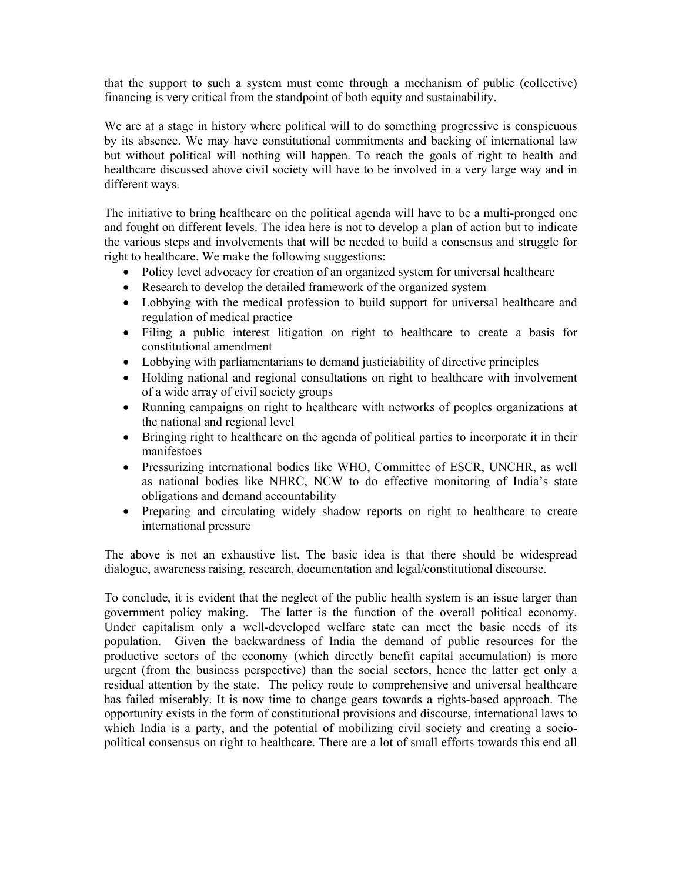that the support to such a system must come through a mechanism of public (collective) financing is very critical from the standpoint of both equity and sustainability.

We are at a stage in history where political will to do something progressive is conspicuous by its absence. We may have constitutional commitments and backing of international law but without political will nothing will happen. To reach the goals of right to health and healthcare discussed above civil society will have to be involved in a very large way and in different ways.

The initiative to bring healthcare on the political agenda will have to be a multi-pronged one and fought on different levels. The idea here is not to develop a plan of action but to indicate the various steps and involvements that will be needed to build a consensus and struggle for right to healthcare. We make the following suggestions:

- Policy level advocacy for creation of an organized system for universal healthcare
- Research to develop the detailed framework of the organized system
- Lobbying with the medical profession to build support for universal healthcare and regulation of medical practice
- Filing a public interest litigation on right to healthcare to create a basis for constitutional amendment
- Lobbying with parliamentarians to demand justiciability of directive principles
- Holding national and regional consultations on right to healthcare with involvement of a wide array of civil society groups
- Running campaigns on right to healthcare with networks of peoples organizations at the national and regional level
- Bringing right to healthcare on the agenda of political parties to incorporate it in their manifestoes
- Pressurizing international bodies like WHO, Committee of ESCR, UNCHR, as well as national bodies like NHRC, NCW to do effective monitoring of India's state obligations and demand accountability
- Preparing and circulating widely shadow reports on right to healthcare to create international pressure

The above is not an exhaustive list. The basic idea is that there should be widespread dialogue, awareness raising, research, documentation and legal/constitutional discourse.

To conclude, it is evident that the neglect of the public health system is an issue larger than government policy making. The latter is the function of the overall political economy. Under capitalism only a well-developed welfare state can meet the basic needs of its population. Given the backwardness of India the demand of public resources for the productive sectors of the economy (which directly benefit capital accumulation) is more urgent (from the business perspective) than the social sectors, hence the latter get only a residual attention by the state. The policy route to comprehensive and universal healthcare has failed miserably. It is now time to change gears towards a rights-based approach. The opportunity exists in the form of constitutional provisions and discourse, international laws to which India is a party, and the potential of mobilizing civil society and creating a sociopolitical consensus on right to healthcare. There are a lot of small efforts towards this end all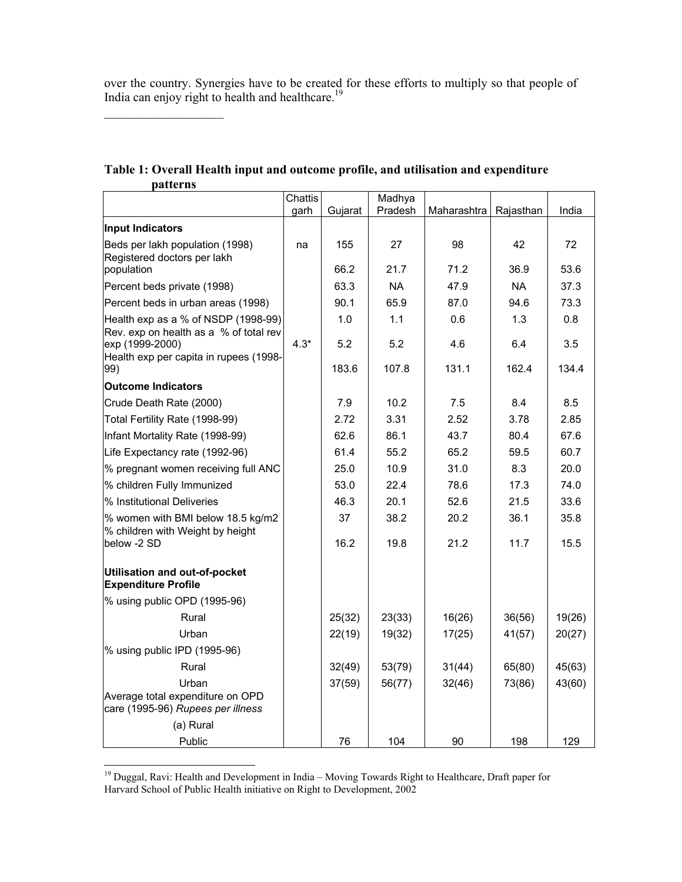over the country. Synergies have to be created for these efforts to multiply so that people of India can enjoy right to health and healthcare.<sup>19</sup>

| Table 1: Overall Health input and outcome profile, and utilisation and expenditure |
|------------------------------------------------------------------------------------|
| <i>patterns</i>                                                                    |

 $\mathcal{L}_\text{max}$ 

|                                                                               | Chattis<br>garh | Gujarat | Madhya<br>Pradesh | Maharashtra | Rajasthan | India  |
|-------------------------------------------------------------------------------|-----------------|---------|-------------------|-------------|-----------|--------|
| Input Indicators                                                              |                 |         |                   |             |           |        |
| Beds per lakh population (1998)<br>Registered doctors per lakh                | na              | 155     | 27                | 98          | 42        | 72     |
| population                                                                    |                 | 66.2    | 21.7              | 71.2        | 36.9      | 53.6   |
| Percent beds private (1998)                                                   |                 | 63.3    | <b>NA</b>         | 47.9        | <b>NA</b> | 37.3   |
| Percent beds in urban areas (1998)                                            |                 | 90.1    | 65.9              | 87.0        | 94.6      | 73.3   |
| Health exp as a % of NSDP (1998-99)<br>Rev. exp on health as a % of total rev |                 | 1.0     | 1.1               | 0.6         | 1.3       | 0.8    |
| exp (1999-2000)<br>Health exp per capita in rupees (1998-                     | $4.3*$          | 5.2     | 5.2               | 4.6         | 6.4       | 3.5    |
| 99)                                                                           |                 | 183.6   | 107.8             | 131.1       | 162.4     | 134.4  |
| <b>Outcome Indicators</b>                                                     |                 |         |                   |             |           |        |
| Crude Death Rate (2000)                                                       |                 | 7.9     | 10.2              | 7.5         | 8.4       | 8.5    |
| Total Fertility Rate (1998-99)                                                |                 | 2.72    | 3.31              | 2.52        | 3.78      | 2.85   |
| Infant Mortality Rate (1998-99)                                               |                 | 62.6    | 86.1              | 43.7        | 80.4      | 67.6   |
| Life Expectancy rate (1992-96)                                                |                 | 61.4    | 55.2              | 65.2        | 59.5      | 60.7   |
| % pregnant women receiving full ANC                                           |                 | 25.0    | 10.9              | 31.0        | 8.3       | 20.0   |
| % children Fully Immunized                                                    |                 | 53.0    | 22.4              | 78.6        | 17.3      | 74.0   |
| % Institutional Deliveries                                                    |                 | 46.3    | 20.1              | 52.6        | 21.5      | 33.6   |
| % women with BMI below 18.5 kg/m2<br>% children with Weight by height         |                 | 37      | 38.2              | 20.2        | 36.1      | 35.8   |
| below -2 SD                                                                   |                 | 16.2    | 19.8              | 21.2        | 11.7      | 15.5   |
| Utilisation and out-of-pocket<br><b>Expenditure Profile</b>                   |                 |         |                   |             |           |        |
| $%$ using public OPD (1995-96)                                                |                 |         |                   |             |           |        |
| Rural                                                                         |                 | 25(32)  | 23(33)            | 16(26)      | 36(56)    | 19(26) |
| Urban                                                                         |                 | 22(19)  | 19(32)            | 17(25)      | 41(57)    | 20(27) |
| % using public IPD (1995-96)                                                  |                 |         |                   |             |           |        |
| Rural                                                                         |                 | 32(49)  | 53(79)            | 31(44)      | 65(80)    | 45(63) |
| Urban<br>Average total expenditure on OPD                                     |                 | 37(59)  | 56(77)            | 32(46)      | 73(86)    | 43(60) |
| care (1995-96) Rupees per illness                                             |                 |         |                   |             |           |        |
| (a) Rural                                                                     |                 |         |                   |             |           |        |
| Public                                                                        |                 | 76      | 104               | 90          | 198       | 129    |

<sup>&</sup>lt;sup>19</sup> Duggal, Ravi: Health and Development in India – Moving Towards Right to Healthcare, Draft paper for Harvard School of Public Health initiative on Right to Development, 2002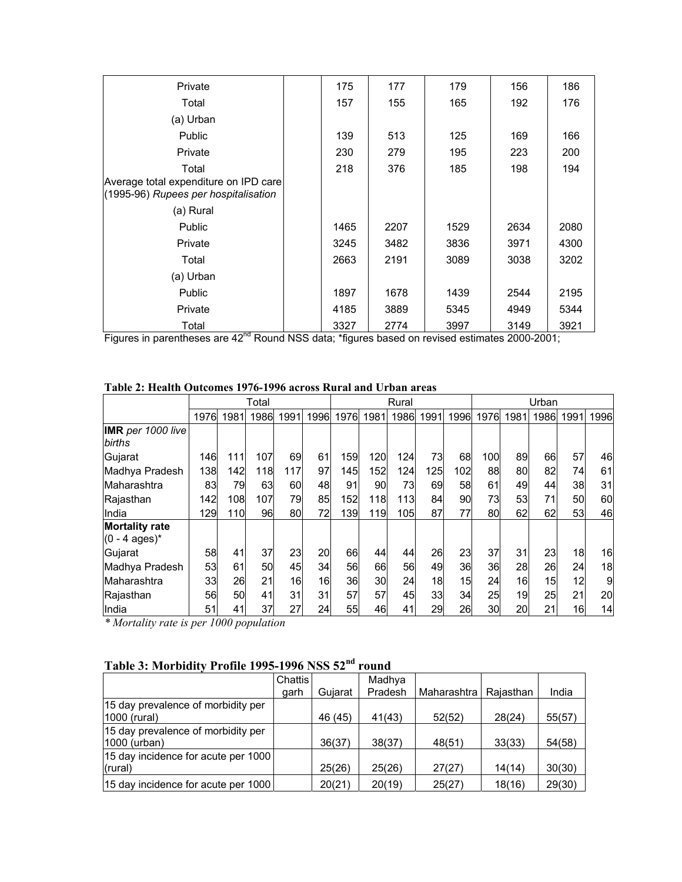| Private                                                                                | 175  | 177  | 179  | 156  | 186  |
|----------------------------------------------------------------------------------------|------|------|------|------|------|
| Total                                                                                  | 157  | 155  | 165  | 192  | 176  |
| (a) Urban                                                                              |      |      |      |      |      |
| Public                                                                                 | 139  | 513  | 125  | 169  | 166  |
| Private                                                                                | 230  | 279  | 195  | 223  | 200  |
| Total<br>Average total expenditure on IPD care<br>(1995-96) Rupees per hospitalisation | 218  | 376  | 185  | 198  | 194  |
| (a) Rural                                                                              |      |      |      |      |      |
| Public                                                                                 | 1465 | 2207 | 1529 | 2634 | 2080 |
| Private                                                                                | 3245 | 3482 | 3836 | 3971 | 4300 |
| Total                                                                                  | 2663 | 2191 | 3089 | 3038 | 3202 |
| (a) Urban                                                                              |      |      |      |      |      |
| Public                                                                                 | 1897 | 1678 | 1439 | 2544 | 2195 |
| Private                                                                                | 4185 | 3889 | 5345 | 4949 | 5344 |
| Total<br>nd                                                                            | 3327 | 2774 | 3997 | 3149 | 3921 |

Figures in parentheses are 42<sup>nd</sup> Round NSS data; \*figures based on revised estimates 2000-2001;

|                                                   |      | Total |      |      |      |      |      | Rural |      |      | Urban |      |      |      |      |
|---------------------------------------------------|------|-------|------|------|------|------|------|-------|------|------|-------|------|------|------|------|
|                                                   | 1976 | 1981  | 1986 | 1991 | 1996 | 1976 | 1981 | 1986  | 1991 | 1996 | 1976  | 1981 | 1986 | 1991 | 1996 |
| <b>IMR</b> per 1000 live<br>births                |      |       |      |      |      |      |      |       |      |      |       |      |      |      |      |
| Gujarat                                           | 146  | 111   | 107  | 69   | 61   | 159  | 120  | 124   | 73   | 68   | 100   | 89   | 66   | 57   | 46   |
| Madhya Pradesh                                    | 138  | 142   | 118  | 117  | 97   | 145  | 152  | 124   | 125  | 102  | 88    | 80   | 82   | 74   | 61   |
| Maharashtra                                       | 83   | 79    | 63   | 60   | 48   | 91   | 90   | 73    | 69   | 58   | 61    | 49   | 44   | 38   | 31   |
| Rajasthan                                         | 142  | 108   | 107  | 79   | 85   | 152  | 118  | 113   | 84   | 90   | 73    | 53   | 71   | 50   | 60   |
| India                                             | 129  | 110   | 96   | 80   | 72   | 139  | 119  | 105   | 87   | 77   | 80    | 62   | 62   | 53   | 46   |
| <b>Mortality rate</b><br>$(0 - 4 \text{ ages})^*$ |      |       |      |      |      |      |      |       |      |      |       |      |      |      |      |
| Gujarat                                           | 58   | 41    | 37   | 23   | 20   | 66   | 44   | 44    | 26   | 23   | 37    | 31   | 23   | 18   | 16   |
| Madhya Pradesh                                    | 53   | 61    | 50   | 45   | 34   | 56   | 66   | 56    | 49   | 36   | 36    | 28   | 26   | 24   | 18   |
| Maharashtra                                       | 33   | 26    | 21   | 16   | 16   | 36   | 30   | 24    | 18   | 15   | 24    | 16   | 15   | 12   | 9    |
| Rajasthan                                         | 56   | 50    | 41   | 31   | 31   | 57   | 57   | 45    | 33   | 34   | 25    | 19   | 25   | 21   | 20   |
| India                                             | 51   | 41    | 37   | 27   | 24   | 55   | 46   | 41    | 29   | 26   | 30    | 20   | 21   | 16   | 14   |

#### **Table 2: Health Outcomes 1976-1996 across Rural and Urban areas**

*\* Mortality rate is per 1000 population* 

# **Table 3: Morbidity Profile 1995-1996 NSS 52nd round**

|                                                    | Chattis<br>aarh | Guiarat | Madhya<br>Pradesh | Maharashtra | Raiasthan | India  |
|----------------------------------------------------|-----------------|---------|-------------------|-------------|-----------|--------|
| 15 day prevalence of morbidity per<br>1000 (rural) |                 | 46 (45) | 41(43)            | 52(52)      | 28(24)    | 55(57) |
| 15 day prevalence of morbidity per<br>1000 (urban) |                 | 36(37)  | 38(37)            | 48(51)      | 33(33)    | 54(58) |
| 15 day incidence for acute per 1000<br>(rural)     |                 | 25(26)  | 25(26)            | 27(27)      | 14(14)    | 30(30) |
| 15 day incidence for acute per 1000                |                 | 20(21)  | 20(19)            | 25(27)      | 18(16)    | 29(30) |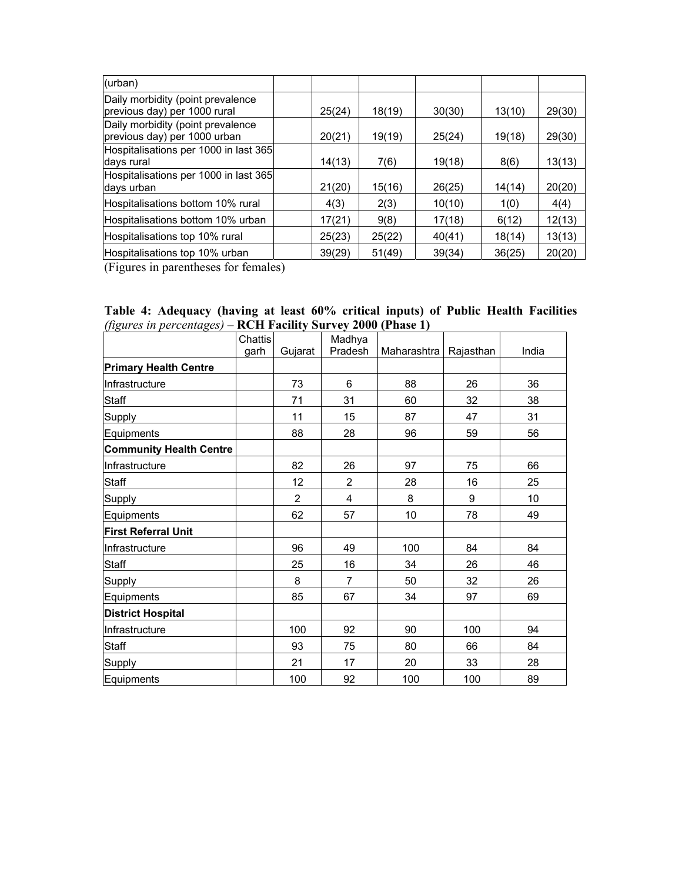| (urban)                                                           |        |        |        |        |        |
|-------------------------------------------------------------------|--------|--------|--------|--------|--------|
| Daily morbidity (point prevalence<br>previous day) per 1000 rural | 25(24) | 18(19) | 30(30) | 13(10) | 29(30) |
| Daily morbidity (point prevalence<br>previous day) per 1000 urban | 20(21) | 19(19) | 25(24) | 19(18) | 29(30) |
| Hospitalisations per 1000 in last 365<br>days rural               | 14(13) | 7(6)   | 19(18) | 8(6)   | 13(13) |
| Hospitalisations per 1000 in last 365<br>days urban               | 21(20) | 15(16) | 26(25) | 14(14) | 20(20) |
| Hospitalisations bottom 10% rural                                 | 4(3)   | 2(3)   | 10(10) | 1(0)   | 4(4)   |
| Hospitalisations bottom 10% urban                                 | 17(21) | 9(8)   | 17(18) | 6(12)  | 12(13) |
| Hospitalisations top 10% rural                                    | 25(23) | 25(22) | 40(41) | 18(14) | 13(13) |
| Hospitalisations top 10% urban                                    | 39(29) | 51(49) | 39(34) | 36(25) | 20(20) |

(Figures in parentheses for females)

| Table 4: Adequacy (having at least 60% critical inputs) of Public Health Facilities |  |  |  |  |  |
|-------------------------------------------------------------------------------------|--|--|--|--|--|
| (figures in percentages) – RCH Facility Survey 2000 (Phase 1)                       |  |  |  |  |  |

|                                | Chattis |                | Madhya         |                    |           |       |
|--------------------------------|---------|----------------|----------------|--------------------|-----------|-------|
|                                | garh    | Gujarat        | Pradesh        | <b>Maharashtra</b> | Rajasthan | India |
| <b>Primary Health Centre</b>   |         |                |                |                    |           |       |
| Infrastructure                 |         | 73             | 6              | 88                 | 26        | 36    |
| <b>Staff</b>                   |         | 71             | 31             | 60                 | 32        | 38    |
| Supply                         |         | 11             | 15             | 87                 | 47        | 31    |
| Equipments                     |         | 88             | 28             | 96                 | 59        | 56    |
| <b>Community Health Centre</b> |         |                |                |                    |           |       |
| Infrastructure                 |         | 82             | 26             | 97                 | 75        | 66    |
| Staff                          |         | 12             | 2              | 28                 | 16        | 25    |
| Supply                         |         | $\overline{2}$ | 4              | 8                  | 9         | 10    |
| Equipments                     |         | 62             | 57             | 10                 | 78        | 49    |
| <b>First Referral Unit</b>     |         |                |                |                    |           |       |
| Infrastructure                 |         | 96             | 49             | 100                | 84        | 84    |
| Staff                          |         | 25             | 16             | 34                 | 26        | 46    |
| Supply                         |         | 8              | $\overline{7}$ | 50                 | 32        | 26    |
| Equipments                     |         | 85             | 67             | 34                 | 97        | 69    |
| <b>District Hospital</b>       |         |                |                |                    |           |       |
| Infrastructure                 |         | 100            | 92             | 90                 | 100       | 94    |
| <b>Staff</b>                   |         | 93             | 75             | 80                 | 66        | 84    |
| Supply                         |         | 21             | 17             | 20                 | 33        | 28    |
| Equipments                     |         | 100            | 92             | 100                | 100       | 89    |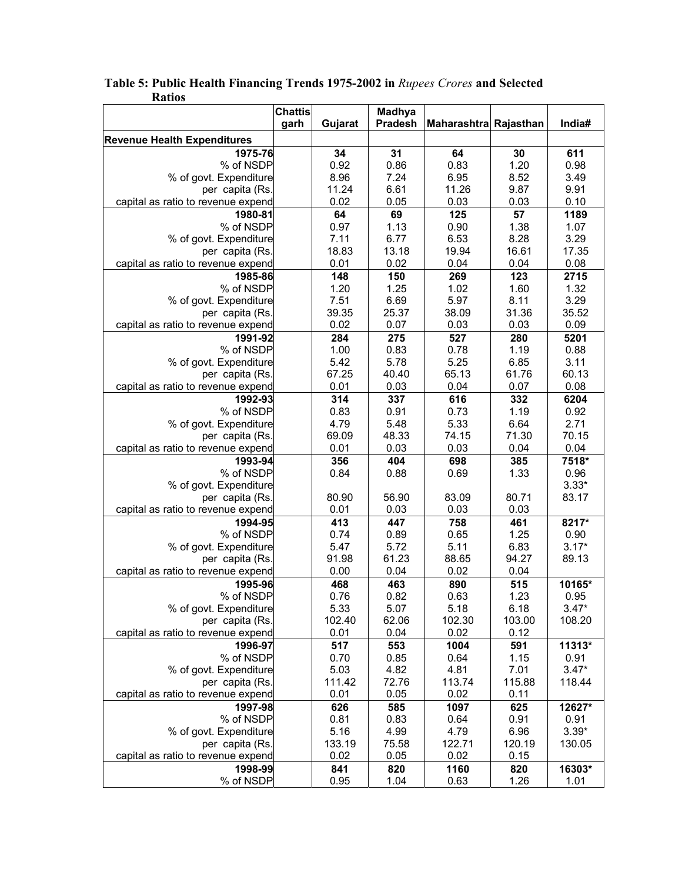|                                    | <b>Chattis</b> |               | <b>Madhya</b>  |                       |             |               |
|------------------------------------|----------------|---------------|----------------|-----------------------|-------------|---------------|
|                                    | garh           | Gujarat       | <b>Pradesh</b> | Maharashtra Rajasthan |             | India#        |
| <b>Revenue Health Expenditures</b> |                |               |                |                       |             |               |
| 1975-76                            |                | 34            | 31             | 64                    | 30          | 611           |
| % of NSDP                          |                | 0.92          | 0.86           | 0.83                  | 1.20        | 0.98          |
| % of govt. Expenditure             |                | 8.96          | 7.24           | 6.95                  | 8.52        | 3.49          |
| per capita (Rs.                    |                | 11.24         | 6.61           | 11.26                 | 9.87        | 9.91          |
| capital as ratio to revenue expend |                | 0.02          | 0.05           | 0.03                  | 0.03        | 0.10          |
| 1980-81                            |                | 64            | 69             | 125                   | 57          | 1189          |
| % of NSDP                          |                | 0.97          | 1.13           | 0.90                  | 1.38        | 1.07          |
| % of govt. Expenditure             |                | 7.11          | 6.77           | 6.53                  | 8.28        | 3.29          |
| per capita (Rs                     |                | 18.83         | 13.18          | 19.94                 | 16.61       | 17.35         |
| capital as ratio to revenue expend |                | 0.01          | 0.02           | 0.04                  | 0.04        | 0.08          |
| 1985-86                            |                | 148           | 150            | 269                   | 123         | 2715          |
| % of NSDP                          |                | 1.20          | 1.25           | 1.02                  | 1.60        | 1.32          |
| % of govt. Expenditure             |                | 7.51          | 6.69           | 5.97                  | 8.11        | 3.29          |
| per capita (Rs.                    |                | 39.35         | 25.37          | 38.09                 | 31.36       | 35.52         |
| capital as ratio to revenue expend |                | 0.02          | 0.07           | 0.03                  | 0.03        | 0.09          |
| 1991-92                            |                | 284           | 275            | 527                   | 280         | 5201          |
| % of NSDP                          |                | 1.00          | 0.83           | 0.78                  | 1.19        | 0.88          |
| % of govt. Expenditure             |                | 5.42          | 5.78           | 5.25                  | 6.85        | 3.11          |
| per capita (Rs.                    |                | 67.25         | 40.40          | 65.13                 | 61.76       | 60.13         |
| capital as ratio to revenue expend |                | 0.01          | 0.03           | 0.04                  | 0.07        | 0.08          |
| 1992-93                            |                | 314           | 337            | 616                   | 332         | 6204          |
| % of NSDP                          |                | 0.83          | 0.91           | 0.73                  | 1.19        | 0.92          |
| % of govt. Expenditure             |                | 4.79          | 5.48           | 5.33                  | 6.64        | 2.71          |
| per capita (Rs                     |                | 69.09<br>0.01 | 48.33<br>0.03  | 74.15                 | 71.30       | 70.15<br>0.04 |
| capital as ratio to revenue expend |                |               |                | 0.03                  | 0.04        |               |
| 1993-94<br>% of NSDP               |                | 356<br>0.84   | 404<br>0.88    | 698<br>0.69           | 385<br>1.33 | 7518*<br>0.96 |
| % of govt. Expenditure             |                |               |                |                       |             | $3.33*$       |
| per capita (Rs.                    |                | 80.90         | 56.90          | 83.09                 | 80.71       | 83.17         |
| capital as ratio to revenue expend |                | 0.01          | 0.03           | 0.03                  | 0.03        |               |
| 1994-95                            |                | 413           | 447            | 758                   | 461         | 8217*         |
| % of NSDP                          |                | 0.74          | 0.89           | 0.65                  | 1.25        | 0.90          |
| % of govt. Expenditure             |                | 5.47          | 5.72           | 5.11                  | 6.83        | $3.17*$       |
| per capita (Rs.                    |                | 91.98         | 61.23          | 88.65                 | 94.27       | 89.13         |
| capital as ratio to revenue expend |                | 0.00          | 0.04           | 0.02                  | 0.04        |               |
| 1995-96                            |                | 468           | 463            | 890                   | 515         | 10165*        |
| % of NSDP                          |                | 0.76          | 0.82           | 0.63                  | 1.23        | 0.95          |
| % of govt. Expenditure             |                | 5.33          | 5.07           | 5.18                  | 6.18        | $3.47*$       |
| per capita (Rs.                    |                | 102.40        | 62.06          | 102.30                | 103.00      | 108.20        |
| capital as ratio to revenue expend |                | 0.01          | 0.04           | 0.02                  | 0.12        |               |
| 1996-97                            |                | 517           | 553            | 1004                  | 591         | 11313*        |
| % of NSDP                          |                | 0.70          | 0.85           | 0.64                  | 1.15        | 0.91          |
| % of govt. Expenditure             |                | 5.03          | 4.82           | 4.81                  | 7.01        | $3.47*$       |
| per capita (Rs.                    |                | 111.42        | 72.76          | 113.74                | 115.88      | 118.44        |
| capital as ratio to revenue expend |                | 0.01          | 0.05           | 0.02                  | 0.11        |               |
| 1997-98                            |                | 626           | 585            | 1097                  | 625         | 12627*        |
| % of NSDP                          |                | 0.81          | 0.83           | 0.64                  | 0.91        | 0.91          |
| % of govt. Expenditure             |                | 5.16          | 4.99           | 4.79                  | 6.96        | $3.39*$       |
| per capita (Rs.                    |                | 133.19        | 75.58          | 122.71                | 120.19      | 130.05        |
| capital as ratio to revenue expend |                | 0.02          | 0.05           | 0.02                  | 0.15        |               |
| 1998-99                            |                | 841           | 820            | 1160                  | 820         | 16303*        |
| % of NSDP                          |                | 0.95          | 1.04           | 0.63                  | 1.26        | 1.01          |

### **Table 5: Public Health Financing Trends 1975-2002 in** *Rupees Crores* **and Selected Ratios**